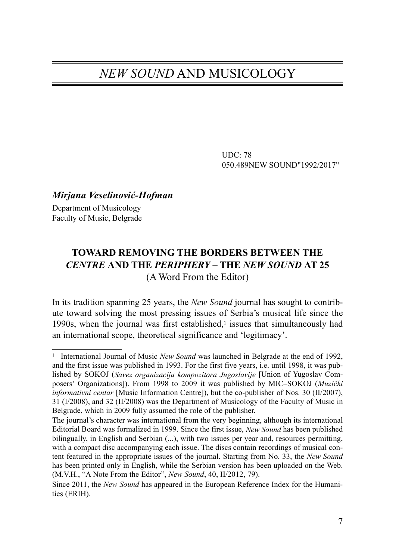## NEW SOUND AND MUSICOLOGY

UDC: 78 050.489NEW SOUND"1992/2017"

## Mirjana Veselinović-Hofman

Department of Musicology Faculty of Music, Belgrade

## **TOWARD REMOVING THE BORDERS BETWEEN THE**  CENTRE **AND THE** PERIPHERY **– THE** NEW SOUND **AT 25** (A Word From the Editor)

In its tradition spanning 25 years, the New Sound journal has sought to contribute toward solving the most pressing issues of Serbia's musical life since the 1990s, when the journal was first established, $\frac{1}{1}$  issues that simultaneously had an international scope, theoretical significance and 'legitimacy'.

<sup>&</sup>lt;sup>1</sup> International Journal of Music *New Sound* was launched in Belgrade at the end of 1992, and the first issue was published in 1993. For the first five years, i.e. until 1998, it was published by SOKOJ (Savez organizacija kompozitora Jugoslavije [Union of Yugoslav Composers' Organizations]). From 1998 to 2009 it was published by MIC–SOKOJ (Muzički informativni centar [Music Information Centre]), but the co-publisher of Nos. 30 (II/2007), 31 (I/2008), and 32 (II/2008) was the Department of Musicology of the Faculty of Music in Belgrade, which in 2009 fully assumed the role of the publisher.

The journal's character was international from the very beginning, although its international Editorial Board was formalized in 1999. Since the first issue, New Sound has been published bilingually, in English and Serbian (...), with two issues per year and, resources permitting, with a compact disc accompanying each issue. The discs contain recordings of musical content featured in the appropriate issues of the journal. Starting from No. 33, the New Sound has been printed only in English, while the Serbian version has been uploaded on the Web. (M.V.H., "A Note From the Editor", New Sound, 40, II/2012, 79).

Since 2011, the New Sound has appeared in the European Reference Index for the Humanities (ERIH).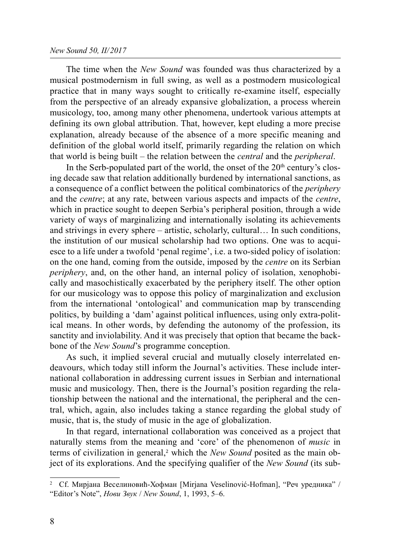## New Sound 50, II/2017

The time when the New Sound was founded was thus characterized by a musical postmodernism in full swing, as well as a postmodern musicological practice that in many ways sought to critically re-examine itself, especially from the perspective of an already expansive globalization, a process wherein musicology, too, among many other phenomena, undertook various attempts at defining its own global attribution. That, however, kept eluding a more precise explanation, already because of the absence of a more specific meaning and definition of the global world itself, primarily regarding the relation on which that world is being built – the relation between the central and the peripheral.

In the Serb-populated part of the world, the onset of the  $20<sup>th</sup>$  century's closing decade saw that relation additionally burdened by international sanctions, as a consequence of a conflict between the political combinatorics of the periphery and the centre; at any rate, between various aspects and impacts of the centre, which in practice sought to deepen Serbia's peripheral position, through a wide variety of ways of marginalizing and internationally isolating its achievements and strivings in every sphere – artistic, scholarly, cultural… In such conditions, the institution of our musical scholarship had two options. One was to acquiesce to a life under a twofold 'penal regime', i.e. a two-sided policy of isolation: on the one hand, coming from the outside, imposed by the centre on its Serbian periphery, and, on the other hand, an internal policy of isolation, xenophobically and masochistically exacerbated by the periphery itself. The other option for our musicology was to oppose this policy of marginalization and exclusion from the international 'ontological' and communication map by transcending politics, by building a 'dam' against political influences, using only extra-political means. In other words, by defending the autonomy of the profession, its sanctity and inviolability. And it was precisely that option that became the backbone of the New Sound's programme conception.

As such, it implied several crucial and mutually closely interrelated endeavours, which today still inform the Journal's activities. These include international collaboration in addressing current issues in Serbian and international music and musicology. Then, there is the Journal's position regarding the relationship between the national and the international, the peripheral and the central, which, again, also includes taking a stance regarding the global study of music, that is, the study of music in the age of globalization.

In that regard, international collaboration was conceived as a project that naturally stems from the meaning and 'core' of the phenomenon of music in terms of civilization in general,<sup>2</sup> which the *New Sound* posited as the main object of its explorations. And the specifying qualifier of the New Sound (its sub-

<sup>2</sup> Cf. Мирјана Веселиновић-Хофман [Mirjana Veselinović-Hofman], "Реч уредника" / "Editor's Note", Нови Звук / New Sound, 1, 1993, 5–6.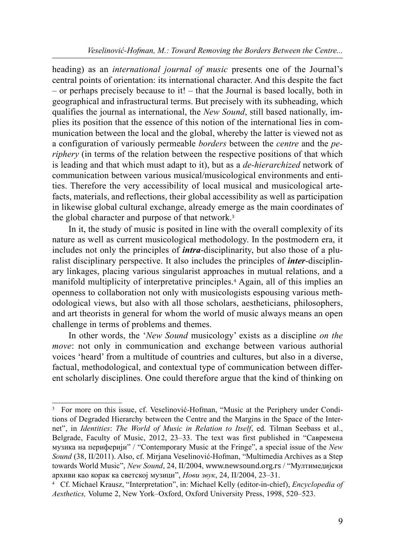heading) as an international journal of music presents one of the Journal's central points of orientation: its international character. And this despite the fact – or perhaps precisely because to it! – that the Journal is based locally, both in geographical and infrastructural terms. But precisely with its subheading, which qualifies the journal as international, the New Sound, still based nationally, implies its position that the essence of this notion of the international lies in communication between the local and the global, whereby the latter is viewed not as a configuration of variously permeable borders between the centre and the periphery (in terms of the relation between the respective positions of that which is leading and that which must adapt to it), but as a *de-hierarchized* network of communication between various musical/musicological environments and entities. Therefore the very accessibility of local musical and musicological artefacts, materials, and reflections, their global accessibility as well as participation in likewise global cultural exchange, already emerge as the main coordinates of the global character and purpose of that network.<sup>3</sup>

In it, the study of music is posited in line with the overall complexity of its nature as well as current musicological methodology. In the postmodern era, it includes not only the principles of *intra*-disciplinarity, but also those of a pluralist disciplinary perspective. It also includes the principles of *inter*-disciplinary linkages, placing various singularist approaches in mutual relations, and a manifold multiplicity of interpretative principles.4 Again, all of this implies an openness to collaboration not only with musicologists espousing various methodological views, but also with all those scholars, aestheticians, philosophers, and art theorists in general for whom the world of music always means an open challenge in terms of problems and themes.

In other words, the 'New Sound musicology' exists as a discipline on the move: not only in communication and exchange between various authorial voices 'heard' from a multitude of countries and cultures, but also in a diverse, factual, methodological, and contextual type of communication between different scholarly disciplines. One could therefore argue that the kind of thinking on

<sup>3</sup> For more on this issue, cf. Veselinović-Hofman, "Music at the Periphery under Conditions of Degraded Hierarchy between the Centre and the Margins in the Space of the Internet", in Identities: The World of Music in Relation to Itself, ed. Tilman Seebass et al., Belgrade, Faculty of Music, 2012, 23–33. The text was first published in "Савремена музика на периферији" / "Contemporary Music at the Fringe", a special issue of the New Sound (38, II/2011). Also, cf. Mirjana Veselinović-Hofman, "Multimedia Archives as a Step towards World Music", New Sound, 24, II/2004, www.newsound.org.rs / "Мултимедијски<br>архиви као корак ка светској музици", Нови звук, 24, II/2004, 23–31.

архиви као корак ка светској музици", *Нови звук*, 24, II/2004, 23–31.<br><sup>4</sup> Cf. Michael Krausz, "Interpretation", in: Michael Kelly (editor-in-chief), *Encyclopedia of* Aesthetics, Volume 2, New York–Oxford, Oxford University Press, 1998, 520–523.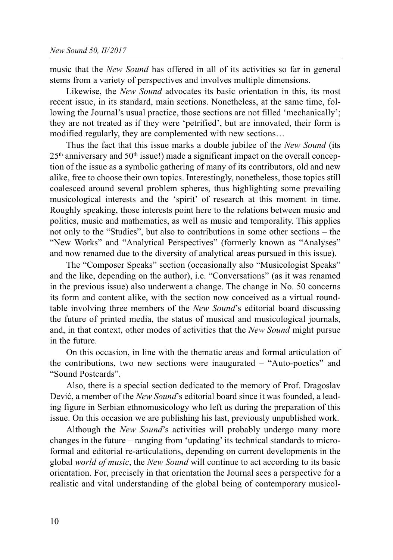music that the New Sound has offered in all of its activities so far in general stems from a variety of perspectives and involves multiple dimensions.

Likewise, the New Sound advocates its basic orientation in this, its most recent issue, in its standard, main sections. Nonetheless, at the same time, following the Journal's usual practice, those sections are not filled 'mechanically'; they are not treated as if they were 'petrified', but are innovated, their form is modified regularly, they are complemented with new sections…

Thus the fact that this issue marks a double jubilee of the New Sound (its  $25<sup>th</sup>$  anniversary and  $50<sup>th</sup>$  issue!) made a significant impact on the overall conception of the issue as a symbolic gathering of many of its contributors, old and new alike, free to choose their own topics. Interestingly, nonetheless, those topics still coalesced around several problem spheres, thus highlighting some prevailing musicological interests and the 'spirit' of research at this moment in time. Roughly speaking, those interests point here to the relations between music and politics, music and mathematics, as well as music and temporality. This applies not only to the "Studies", but also to contributions in some other sections – the "New Works" and "Analytical Perspectives" (formerly known as "Analyses" and now renamed due to the diversity of analytical areas pursued in this issue).

The "Composer Speaks" section (occasionally also "Musicologist Speaks" and the like, depending on the author), i.e. "Conversations" (as it was renamed in the previous issue) also underwent a change. The change in No. 50 concerns its form and content alike, with the section now conceived as a virtual roundtable involving three members of the *New Sound's* editorial board discussing the future of printed media, the status of musical and musicological journals, and, in that context, other modes of activities that the New Sound might pursue in the future.

On this occasion, in line with the thematic areas and formal articulation of the contributions, two new sections were inaugurated – "Auto-poetics" and "Sound Postcards".

Also, there is a special section dedicated to the memory of Prof. Dragoslav Dević, a member of the New Sound's editorial board since it was founded, a leading figure in Serbian ethnomusicology who left us during the preparation of this issue. On this occasion we are publishing his last, previously unpublished work.

Although the *New Sound*'s activities will probably undergo many more changes in the future – ranging from 'updating' its technical standards to microformal and editorial re-articulations, depending on current developments in the global world of music, the New Sound will continue to act according to its basic orientation. For, precisely in that orientation the Journal sees a perspective for a realistic and vital understanding of the global being of contemporary musicol